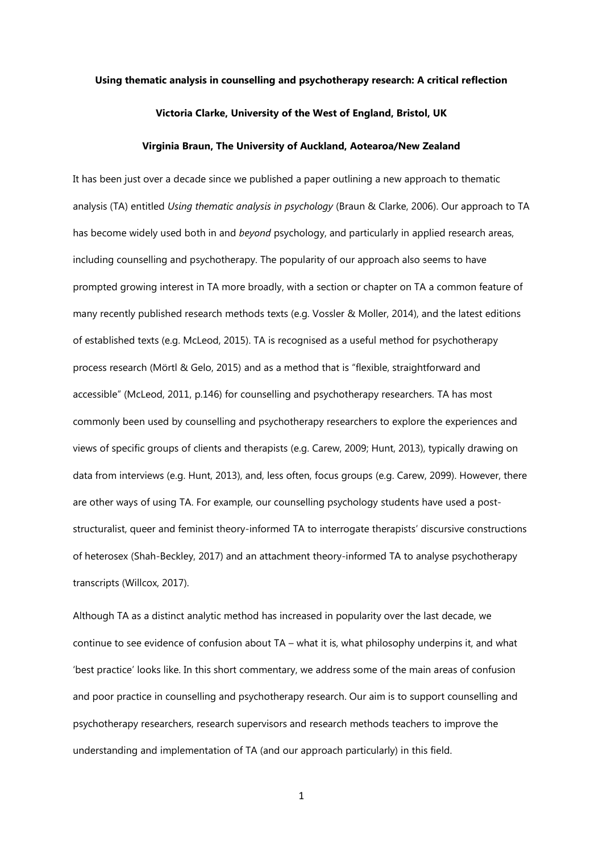### **Using thematic analysis in counselling and psychotherapy research: A critical reflection**

### **Victoria Clarke, University of the West of England, Bristol, UK**

### **Virginia Braun, The University of Auckland, Aotearoa/New Zealand**

It has been just over a decade since we published a paper outlining a new approach to thematic analysis (TA) entitled *Using thematic analysis in psychology* (Braun & Clarke, 2006). Our approach to TA has become widely used both in and *beyond* psychology, and particularly in applied research areas, including counselling and psychotherapy. The popularity of our approach also seems to have prompted growing interest in TA more broadly, with a section or chapter on TA a common feature of many recently published research methods texts (e.g. Vossler & Moller, 2014), and the latest editions of established texts (e.g. McLeod, 2015). TA is recognised as a useful method for psychotherapy process research (Mörtl & Gelo, 2015) and as a method that is "flexible, straightforward and accessible" (McLeod, 2011, p.146) for counselling and psychotherapy researchers. TA has most commonly been used by counselling and psychotherapy researchers to explore the experiences and views of specific groups of clients and therapists (e.g. Carew, 2009; Hunt, 2013), typically drawing on data from interviews (e.g. Hunt, 2013), and, less often, focus groups (e.g. Carew, 2099). However, there are other ways of using TA. For example, our counselling psychology students have used a poststructuralist, queer and feminist theory-informed TA to interrogate therapists' discursive constructions of heterosex (Shah-Beckley, 2017) and an attachment theory-informed TA to analyse psychotherapy transcripts (Willcox, 2017).

Although TA as a distinct analytic method has increased in popularity over the last decade, we continue to see evidence of confusion about TA – what it is, what philosophy underpins it, and what 'best practice' looks like. In this short commentary, we address some of the main areas of confusion and poor practice in counselling and psychotherapy research. Our aim is to support counselling and psychotherapy researchers, research supervisors and research methods teachers to improve the understanding and implementation of TA (and our approach particularly) in this field.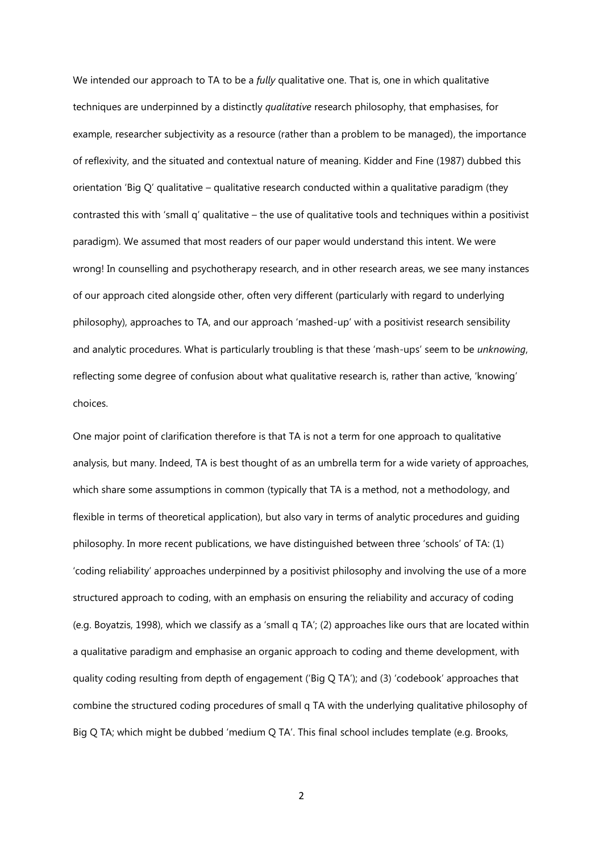We intended our approach to TA to be a *fully* qualitative one. That is, one in which qualitative techniques are underpinned by a distinctly *qualitative* research philosophy, that emphasises, for example, researcher subjectivity as a resource (rather than a problem to be managed), the importance of reflexivity, and the situated and contextual nature of meaning. Kidder and Fine (1987) dubbed this orientation 'Big Q' qualitative – qualitative research conducted within a qualitative paradigm (they contrasted this with 'small q' qualitative – the use of qualitative tools and techniques within a positivist paradigm). We assumed that most readers of our paper would understand this intent. We were wrong! In counselling and psychotherapy research, and in other research areas, we see many instances of our approach cited alongside other, often very different (particularly with regard to underlying philosophy), approaches to TA, and our approach 'mashed-up' with a positivist research sensibility and analytic procedures. What is particularly troubling is that these 'mash-ups' seem to be *unknowing*, reflecting some degree of confusion about what qualitative research is, rather than active, 'knowing' choices.

One major point of clarification therefore is that TA is not a term for one approach to qualitative analysis, but many. Indeed, TA is best thought of as an umbrella term for a wide variety of approaches, which share some assumptions in common (typically that TA is a method, not a methodology, and flexible in terms of theoretical application), but also vary in terms of analytic procedures and guiding philosophy. In more recent publications, we have distinguished between three 'schools' of TA: (1) 'coding reliability' approaches underpinned by a positivist philosophy and involving the use of a more structured approach to coding, with an emphasis on ensuring the reliability and accuracy of coding (e.g. Boyatzis, 1998), which we classify as a 'small q TA'; (2) approaches like ours that are located within a qualitative paradigm and emphasise an organic approach to coding and theme development, with quality coding resulting from depth of engagement ('Big Q TA'); and (3) 'codebook' approaches that combine the structured coding procedures of small q TA with the underlying qualitative philosophy of Big Q TA; which might be dubbed 'medium Q TA'. This final school includes template (e.g. Brooks,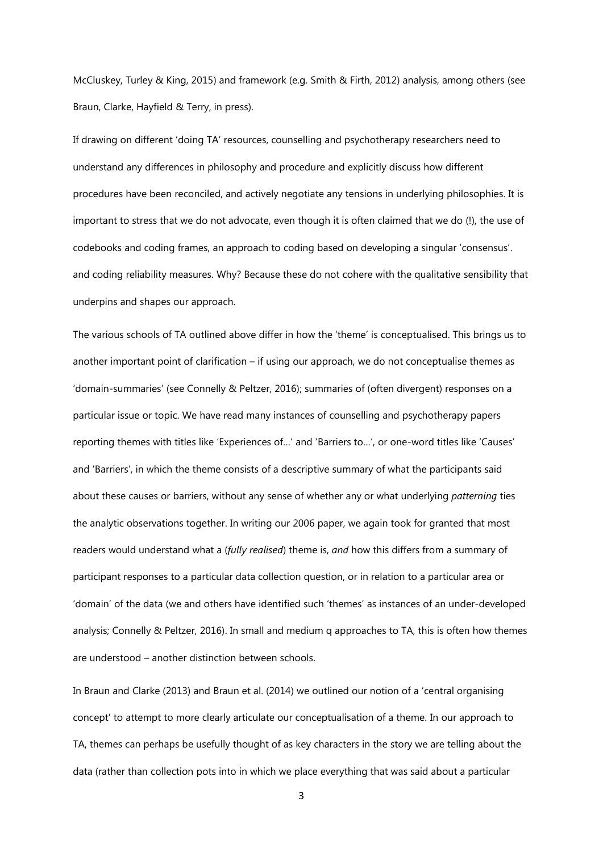McCluskey, Turley & King, 2015) and framework (e.g. Smith & Firth, 2012) analysis, among others (see Braun, Clarke, Hayfield & Terry, in press).

If drawing on different 'doing TA' resources, counselling and psychotherapy researchers need to understand any differences in philosophy and procedure and explicitly discuss how different procedures have been reconciled, and actively negotiate any tensions in underlying philosophies. It is important to stress that we do not advocate, even though it is often claimed that we do (!), the use of codebooks and coding frames, an approach to coding based on developing a singular 'consensus'. and coding reliability measures. Why? Because these do not cohere with the qualitative sensibility that underpins and shapes our approach.

The various schools of TA outlined above differ in how the 'theme' is conceptualised. This brings us to another important point of clarification – if using our approach, we do not conceptualise themes as 'domain-summaries' (see Connelly & Peltzer, 2016); summaries of (often divergent) responses on a particular issue or topic. We have read many instances of counselling and psychotherapy papers reporting themes with titles like 'Experiences of…' and 'Barriers to…', or one-word titles like 'Causes' and 'Barriers', in which the theme consists of a descriptive summary of what the participants said about these causes or barriers, without any sense of whether any or what underlying *patterning* ties the analytic observations together. In writing our 2006 paper, we again took for granted that most readers would understand what a (*fully realised*) theme is, *and* how this differs from a summary of participant responses to a particular data collection question, or in relation to a particular area or 'domain' of the data (we and others have identified such 'themes' as instances of an under-developed analysis; Connelly & Peltzer, 2016). In small and medium q approaches to TA, this is often how themes are understood – another distinction between schools.

In Braun and Clarke (2013) and Braun et al. (2014) we outlined our notion of a 'central organising concept' to attempt to more clearly articulate our conceptualisation of a theme. In our approach to TA, themes can perhaps be usefully thought of as key characters in the story we are telling about the data (rather than collection pots into in which we place everything that was said about a particular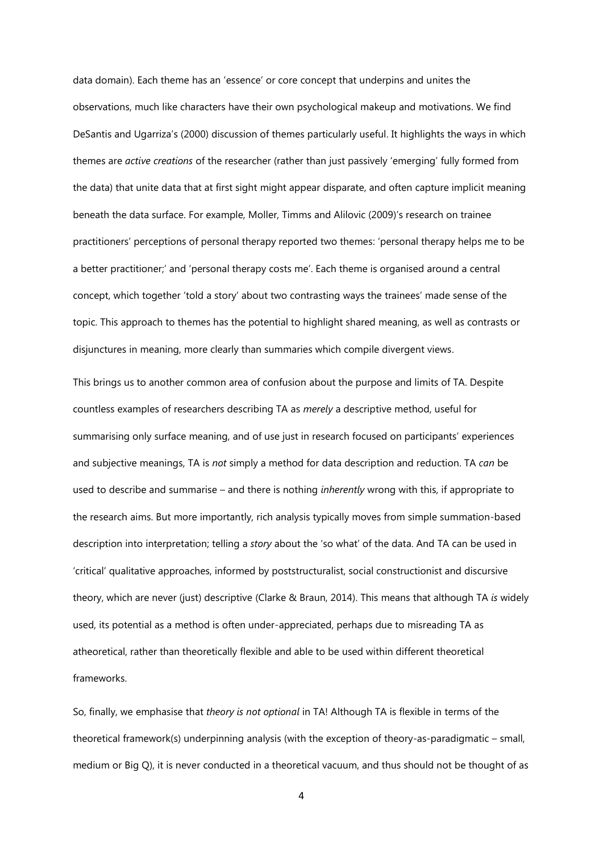data domain). Each theme has an 'essence' or core concept that underpins and unites the observations, much like characters have their own psychological makeup and motivations. We find DeSantis and Ugarriza's (2000) discussion of themes particularly useful. It highlights the ways in which themes are *active creations* of the researcher (rather than just passively 'emerging' fully formed from the data) that unite data that at first sight might appear disparate, and often capture implicit meaning beneath the data surface. For example, Moller, Timms and Alilovic (2009)'s research on trainee practitioners' perceptions of personal therapy reported two themes: 'personal therapy helps me to be a better practitioner;' and 'personal therapy costs me'. Each theme is organised around a central concept, which together 'told a story' about two contrasting ways the trainees' made sense of the topic. This approach to themes has the potential to highlight shared meaning, as well as contrasts or disjunctures in meaning, more clearly than summaries which compile divergent views.

This brings us to another common area of confusion about the purpose and limits of TA. Despite countless examples of researchers describing TA as *merely* a descriptive method, useful for summarising only surface meaning, and of use just in research focused on participants' experiences and subjective meanings, TA is *not* simply a method for data description and reduction. TA *can* be used to describe and summarise – and there is nothing *inherently* wrong with this, if appropriate to the research aims. But more importantly, rich analysis typically moves from simple summation-based description into interpretation; telling a *story* about the 'so what' of the data. And TA can be used in 'critical' qualitative approaches, informed by poststructuralist, social constructionist and discursive theory, which are never (just) descriptive (Clarke & Braun, 2014). This means that although TA *is* widely used, its potential as a method is often under-appreciated, perhaps due to misreading TA as atheoretical, rather than theoretically flexible and able to be used within different theoretical frameworks.

So, finally, we emphasise that *theory is not optional* in TA! Although TA is flexible in terms of the theoretical framework(s) underpinning analysis (with the exception of theory-as-paradigmatic – small, medium or Big Q), it is never conducted in a theoretical vacuum, and thus should not be thought of as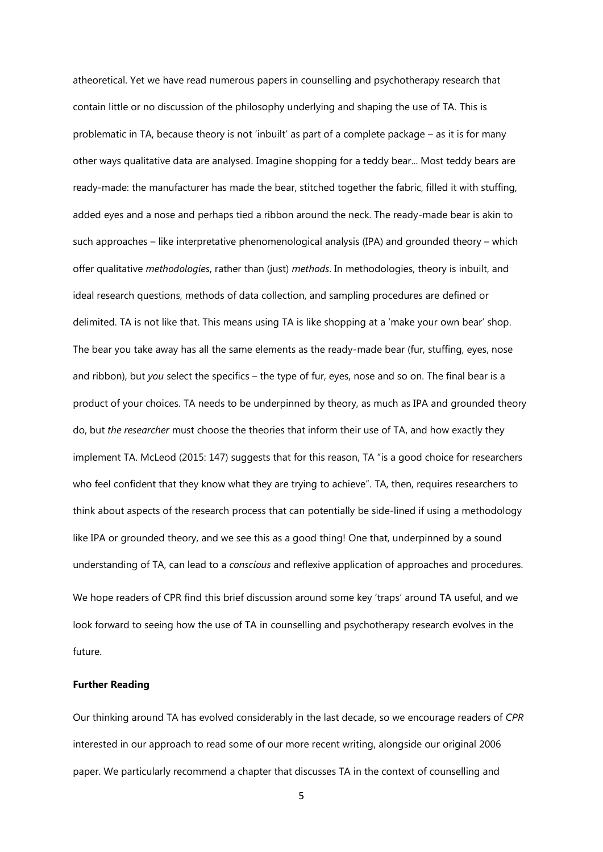atheoretical. Yet we have read numerous papers in counselling and psychotherapy research that contain little or no discussion of the philosophy underlying and shaping the use of TA. This is problematic in TA, because theory is not 'inbuilt' as part of a complete package – as it is for many other ways qualitative data are analysed. Imagine shopping for a teddy bear... Most teddy bears are ready-made: the manufacturer has made the bear, stitched together the fabric, filled it with stuffing, added eyes and a nose and perhaps tied a ribbon around the neck. The ready-made bear is akin to such approaches – like interpretative phenomenological analysis (IPA) and grounded theory – which offer qualitative *methodologies*, rather than (just) *methods*. In methodologies, theory is inbuilt, and ideal research questions, methods of data collection, and sampling procedures are defined or delimited. TA is not like that. This means using TA is like shopping at a 'make your own bear' shop. The bear you take away has all the same elements as the ready-made bear (fur, stuffing, eyes, nose and ribbon), but *you* select the specifics – the type of fur, eyes, nose and so on. The final bear is a product of your choices. TA needs to be underpinned by theory, as much as IPA and grounded theory do, but *the researcher* must choose the theories that inform their use of TA, and how exactly they implement TA. McLeod (2015: 147) suggests that for this reason, TA "is a good choice for researchers who feel confident that they know what they are trying to achieve". TA, then, requires researchers to think about aspects of the research process that can potentially be side-lined if using a methodology like IPA or grounded theory, and we see this as a good thing! One that, underpinned by a sound understanding of TA, can lead to a *conscious* and reflexive application of approaches and procedures. We hope readers of CPR find this brief discussion around some key 'traps' around TA useful, and we look forward to seeing how the use of TA in counselling and psychotherapy research evolves in the future.

## **Further Reading**

Our thinking around TA has evolved considerably in the last decade, so we encourage readers of *CPR* interested in our approach to read some of our more recent writing, alongside our original 2006 paper. We particularly recommend a chapter that discusses TA in the context of counselling and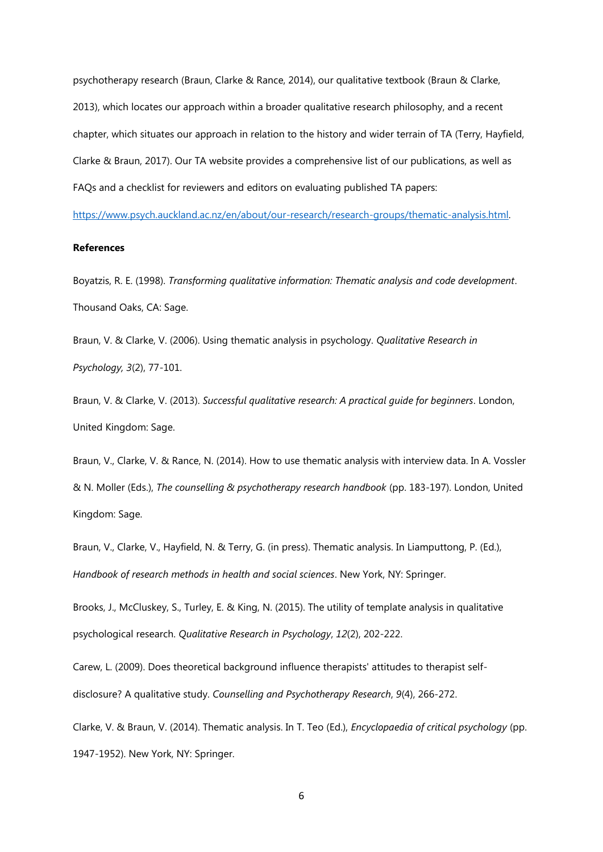psychotherapy research (Braun, Clarke & Rance, 2014), our qualitative textbook (Braun & Clarke, 2013), which locates our approach within a broader qualitative research philosophy, and a recent chapter, which situates our approach in relation to the history and wider terrain of TA (Terry, Hayfield, Clarke & Braun, 2017). Our TA website provides a comprehensive list of our publications, as well as FAQs and a checklist for reviewers and editors on evaluating published TA papers:

[https://www.psych.auckland.ac.nz/en/about/our-research/research-groups/thematic-analysis.html.](https://www.psych.auckland.ac.nz/en/about/our-research/research-groups/thematic-analysis.html) 

# **References**

Boyatzis, R. E. (1998). *Transforming qualitative information: Thematic analysis and code development*. Thousand Oaks, CA: Sage.

Braun, V. & Clarke, V. (2006). Using thematic analysis in psychology. *Qualitative Research in Psychology, 3*(2), 77-101.

Braun, V. & Clarke, V. (2013). *Successful qualitative research: A practical guide for beginners*. London, United Kingdom: Sage.

Braun, V., Clarke, V. & Rance, N. (2014). How to use thematic analysis with interview data. In A. Vossler & N. Moller (Eds.), *The counselling & psychotherapy research handbook* (pp. 183-197). London, United Kingdom: Sage.

Braun, V., Clarke, V., Hayfield, N. & Terry, G. (in press). Thematic analysis. In Liamputtong, P. (Ed.), *Handbook of research methods in health and social sciences*. New York, NY: Springer.

Brooks, J., McCluskey, S., Turley, E. & King, N. (2015). The utility of template analysis in qualitative psychological research. *Qualitative Research in Psychology*, *12*(2), 202-222.

Carew, L. (2009). Does theoretical background influence therapists' attitudes to therapist selfdisclosure? A qualitative study. *Counselling and Psychotherapy Research*, *9*(4), 266-272.

Clarke, V. & Braun, V. (2014). Thematic analysis. In T. Teo (Ed.), *Encyclopaedia of critical psychology* (pp. 1947-1952). New York, NY: Springer.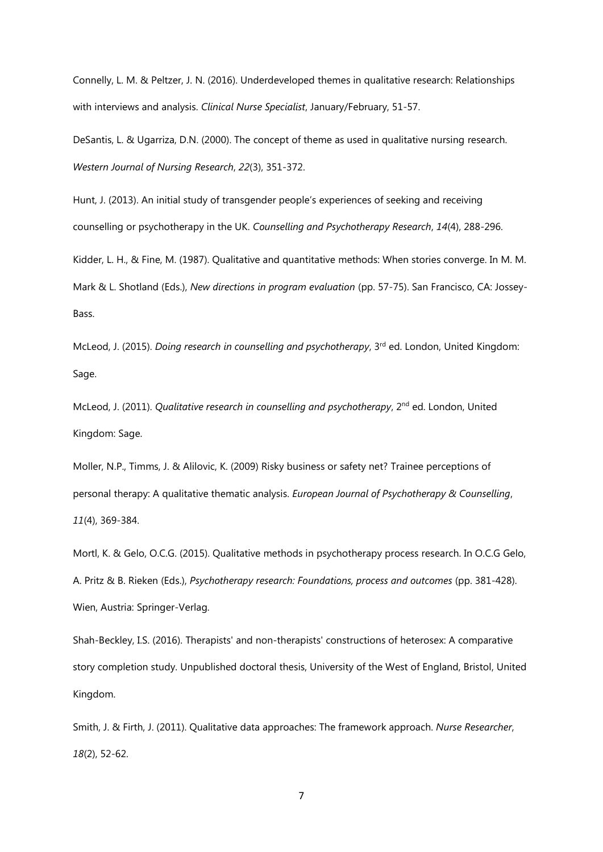Connelly, L. M. & Peltzer, J. N. (2016). Underdeveloped themes in qualitative research: Relationships with interviews and analysis. *Clinical Nurse Specialist*, January/February, 51-57.

DeSantis, L. & Ugarriza, D.N. (2000). The concept of theme as used in qualitative nursing research. *Western Journal of Nursing Research*, *22*(3), 351-372.

Hunt, J. (2013). An initial study of transgender people's experiences of seeking and receiving counselling or psychotherapy in the UK. *Counselling and Psychotherapy Research*, *14*(4), 288-296.

Kidder, L. H., & Fine, M. (1987). Qualitative and quantitative methods: When stories converge. In M. M. Mark & L. Shotland (Eds.), *New directions in program evaluation* (pp. 57-75). San Francisco, CA: Jossey-Bass.

McLeod, J. (2015). *Doing research in counselling and psychotherapy*, 3<sup>rd</sup> ed. London, United Kingdom: Sage.

McLeod, J. (2011). *Qualitative research in counselling and psychotherapy*, 2<sup>nd</sup> ed. London, United Kingdom: Sage.

Moller, N.P., Timms, J. & Alilovic, K. (2009) Risky business or safety net? Trainee perceptions of personal therapy: A qualitative thematic analysis. *[European Journal of Psychotherapy & Counselling](http://www.tandfonline.com/toc/rejp20/current)*, *11*[\(4\), 369-384.](http://www.tandfonline.com/toc/rejp20/current) 

Mortl, K. & Gelo, O.C.G. (2015). Qualitative methods in psychotherapy process research. In O.C.G Gelo, A. Pritz & B. Rieken (Eds.), *Psychotherapy research: Foundations, process and outcomes* (pp. 381-428). Wien, Austria: Springer-Verlag.

Shah-Beckley, I.S. (2016). Therapists' and non-therapists' constructions of heterosex: A comparative story completion study. Unpublished doctoral thesis, University of the West of England, Bristol, United Kingdom.

Smith, J. & Firth, J. (2011). Qualitative data approaches: The framework approach. *Nurse Researcher*, *18*(2), 52-62.